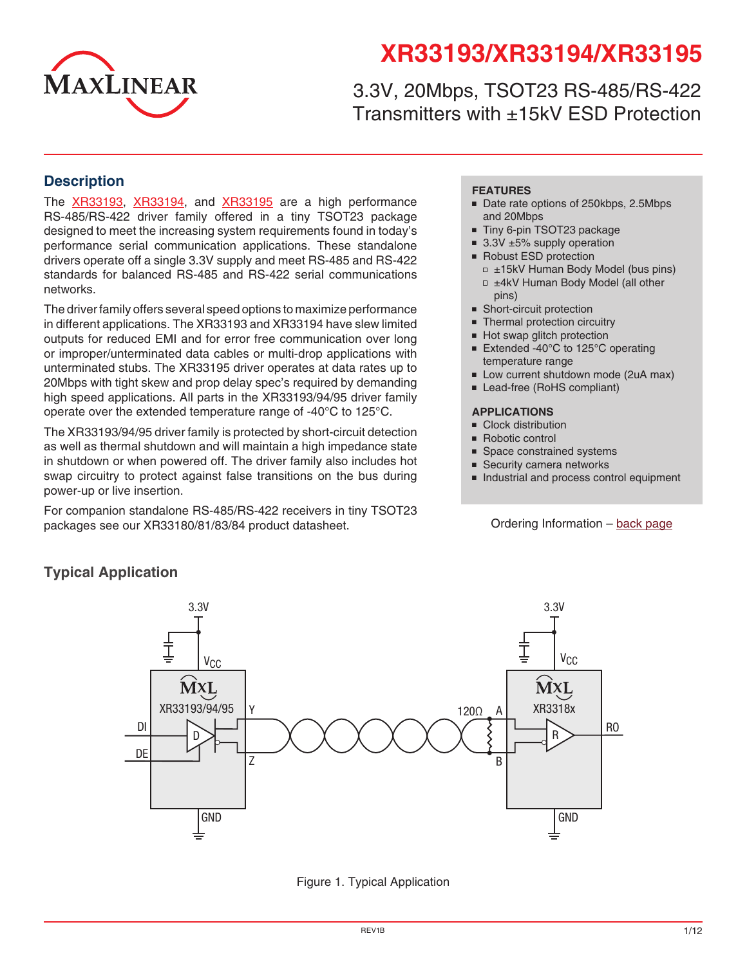

# **XR33193/XR33194/XR33195**

3.3V, 20Mbps, TSOT23 RS-485/RS-422 Transmitters with ±15kV ESD Protection

### **Description**

The [XR33193,](http://www.exar.com/XR33193) [XR33194,](http://www.exar.com/XR33194) and [XR33195](http://www.exar.com/XR33195) are a high performance RS-485/RS-422 driver family offered in a tiny TSOT23 package designed to meet the increasing system requirements found in today's performance serial communication applications. These standalone drivers operate off a single 3.3V supply and meet RS-485 and RS-422 standards for balanced RS-485 and RS-422 serial communications networks.

The driver family offers several speed options to maximize performance in different applications. The XR33193 and XR33194 have slew limited outputs for reduced EMI and for error free communication over long or improper/unterminated data cables or multi-drop applications with unterminated stubs. The XR33195 driver operates at data rates up to 20Mbps with tight skew and prop delay spec's required by demanding high speed applications. All parts in the XR33193/94/95 driver family operate over the extended temperature range of -40°C to 125°C.

The XR33193/94/95 driver family is protected by short-circuit detection as well as thermal shutdown and will maintain a high impedance state in shutdown or when powered off. The driver family also includes hot swap circuitry to protect against false transitions on the bus during power-up or live insertion.

For companion standalone RS-485/RS-422 receivers in tiny TSOT23 packages see our XR33180/81/83/84 product datasheet.

#### **FEATURES**

- Date rate options of 250kbps, 2.5Mbps and 20Mbps
- Tiny 6-pin TSOT23 package
	- 3.3V ±5% supply operation
	- Robust ESD protection
		- □ ±15kV Human Body Model (bus pins) □ ±4kV Human Body Model (all other
	- pins) ■ Short-circuit protection
	- Thermal protection circuitry
	- Hot swap glitch protection
	- Extended -40°C to 125°C operating temperature range
	- Low current shutdown mode (2uA max)
	- Lead-free (RoHS compliant)

#### **APPLICATIONS**

- Clock distribution
- Robotic control
- Space constrained systems
- Security camera networks
- Industrial and process control equipment

Ordering Information – b[ack page](#page-11-0)



# **Typical Application**

Figure 1. Typical Application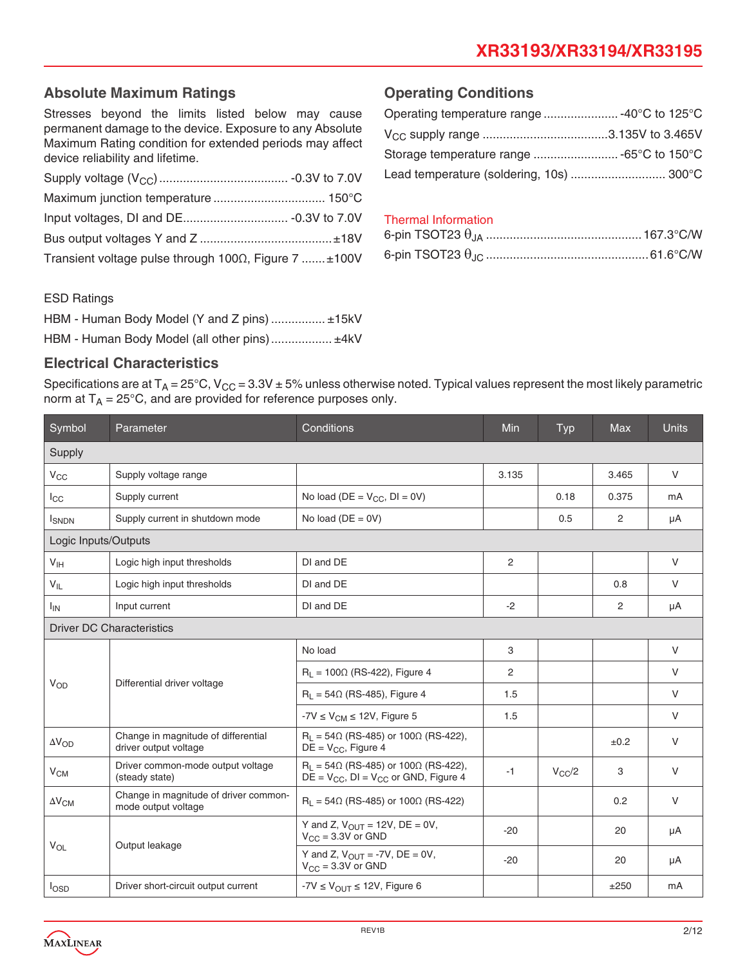# **Absolute Maximum Ratings**

Stresses beyond the limits listed below may cause permanent damage to the device. Exposure to any Absolute Maximum Rating condition for extended periods may affect device reliability and lifetime.

| Transient voltage pulse through $100\Omega$ , Figure 7 $\pm 100V$ |  |
|-------------------------------------------------------------------|--|

# **Operating Conditions**

| Operating temperature range  -40°C to 125°C |  |
|---------------------------------------------|--|
|                                             |  |
|                                             |  |
| Lead temperature (soldering, 10s)  300°C    |  |

# Thermal Information

#### ESD Ratings

| HBM - Human Body Model (Y and Z pins)  ±15kV |  |
|----------------------------------------------|--|
| HBM - Human Body Model (all other pins) ±4kV |  |

### **Electrical Characteristics**

Specifications are at  $T_A = 25^{\circ}$ C, V<sub>CC</sub> = 3.3V  $\pm$  5% unless otherwise noted. Typical values represent the most likely parametric norm at  $T_A = 25^{\circ}$ C, and are provided for reference purposes only.

| Symbol                 | Parameter                                                    | Conditions                                                                                            | Min   | Typ        | <b>Max</b> | <b>Units</b> |
|------------------------|--------------------------------------------------------------|-------------------------------------------------------------------------------------------------------|-------|------------|------------|--------------|
| Supply                 |                                                              |                                                                                                       |       |            |            |              |
| $V_{CC}$               | Supply voltage range                                         |                                                                                                       | 3.135 |            | 3.465      | $\vee$       |
| $_{\rm lcc}$           | Supply current                                               | No load ( $DE = V_{CC}$ , $DI = 0V$ )                                                                 |       | 0.18       | 0.375      | mA           |
| <b>I</b> SNDN          | Supply current in shutdown mode                              | No load ( $DE = 0V$ )                                                                                 |       | 0.5        | 2          | μA           |
| Logic Inputs/Outputs   |                                                              |                                                                                                       |       |            |            |              |
| V <sub>IH</sub>        | Logic high input thresholds                                  | DI and DE                                                                                             | 2     |            |            | V            |
| $V_{IL}$               | Logic high input thresholds                                  | DI and DE                                                                                             |       |            | 0.8        | V            |
| $I_{IN}$               | Input current                                                | DI and DE                                                                                             | $-2$  |            | 2          | μA           |
|                        | <b>Driver DC Characteristics</b>                             |                                                                                                       |       |            |            |              |
|                        | Differential driver voltage                                  | No load                                                                                               | 3     |            |            | V            |
| $V_{OD}$               |                                                              | $R_1 = 100 \Omega$ (RS-422), Figure 4                                                                 | 2     |            |            | V            |
|                        |                                                              | $R_L$ = 54 $\Omega$ (RS-485), Figure 4                                                                | 1.5   |            |            | $\vee$       |
|                        |                                                              | $-7V \leq V_{CM} \leq 12V$ , Figure 5                                                                 | 1.5   |            |            | V            |
| $\Delta V_{OD}$        | Change in magnitude of differential<br>driver output voltage | $R_1 = 54\Omega$ (RS-485) or 100 $\Omega$ (RS-422),<br>$DE = V_{CC}$ , Figure 4                       |       |            | $\pm 0.2$  | $\vee$       |
| V <sub>CM</sub>        | Driver common-mode output voltage<br>(steady state)          | $R_1 = 54\Omega$ (RS-485) or 100 $\Omega$ (RS-422),<br>$DE = V_{CC}$ , $DI = V_{CC}$ or GND, Figure 4 | $-1$  | $V_{CC}/2$ | 3          | $\vee$       |
| $\Delta V_{\text{CM}}$ | Change in magnitude of driver common-<br>mode output voltage | $R_L$ = 54 $\Omega$ (RS-485) or 100 $\Omega$ (RS-422)                                                 |       |            | 0.2        | V            |
| $V_{OL}$               | Output leakage                                               | Y and Z, $V_{OUT} = 12V$ , DE = 0V,<br>$V_{CC} = 3.3V$ or GND                                         | $-20$ |            | 20         | μA           |
|                        |                                                              | Y and Z, $V_{\text{OUT}} = -7V$ , DE = 0V,<br>$V_{CC}$ = 3.3V or GND                                  | $-20$ |            | 20         | μA           |
| $I_{\text{OSD}}$       | Driver short-circuit output current                          | $-7V \leq V_{\text{OUT}} \leq 12V$ , Figure 6                                                         |       |            | ±250       | mA           |

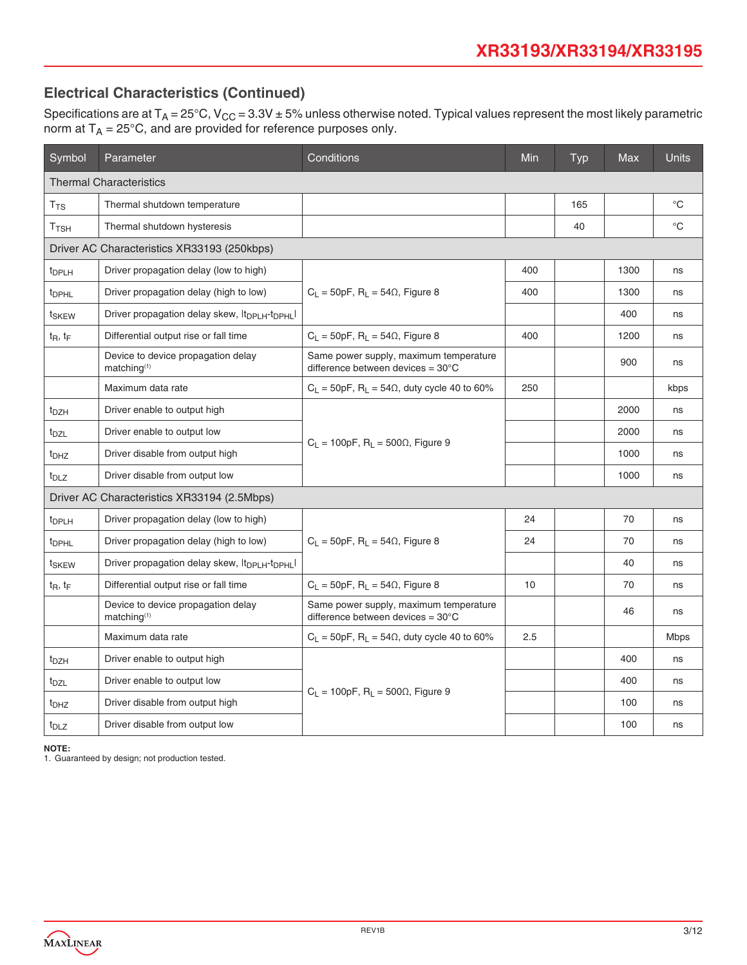# **Electrical Characteristics (Continued)**

Specifications are at T<sub>A</sub> = 25°C, V<sub>CC</sub> = 3.3V ± 5% unless otherwise noted. Typical values represent the most likely parametric norm at  $T_A = 25^{\circ}$ C, and are provided for reference purposes only.

| Symbol             | Conditions<br><b>Parameter</b>                                         |                                                                                       |     | Typ | Max  | <b>Units</b> |
|--------------------|------------------------------------------------------------------------|---------------------------------------------------------------------------------------|-----|-----|------|--------------|
|                    | <b>Thermal Characteristics</b>                                         |                                                                                       |     |     |      |              |
| $T_{TS}$           | Thermal shutdown temperature                                           |                                                                                       |     | 165 |      | $^{\circ}C$  |
| $T$ <sub>TSH</sub> | Thermal shutdown hysteresis                                            |                                                                                       |     | 40  |      | $^{\circ}C$  |
|                    | Driver AC Characteristics XR33193 (250kbps)                            |                                                                                       |     |     |      |              |
| <sup>t</sup> DPLH  | Driver propagation delay (low to high)                                 |                                                                                       | 400 |     | 1300 | ns           |
| <sup>t</sup> DPHL  | Driver propagation delay (high to low)                                 | $C_L = 50pF$ , $R_L = 54\Omega$ , Figure 8                                            | 400 |     | 1300 | ns           |
| t <sub>SKEW</sub>  | Driver propagation delay skew, It <sub>DPLH</sub> -t <sub>DPHL</sub> I |                                                                                       |     |     | 400  | ns           |
| $t_R$ , $t_F$      | Differential output rise or fall time                                  | $C_L = 50pF$ , $R_L = 54\Omega$ , Figure 8                                            | 400 |     | 1200 | ns           |
|                    | Device to device propagation delay<br>matching <sup>(1)</sup>          | Same power supply, maximum temperature<br>difference between devices = $30^{\circ}$ C |     |     | 900  | ns           |
|                    | Maximum data rate                                                      | $C_L$ = 50pF, $R_L$ = 54 $\Omega$ , duty cycle 40 to 60%                              | 250 |     |      | kbps         |
| t <sub>DZH</sub>   | Driver enable to output high                                           |                                                                                       |     |     | 2000 | ns           |
| t <sub>DZL</sub>   | Driver enable to output low                                            | $C_L = 100pF$ , $R_L = 500\Omega$ , Figure 9                                          |     |     | 2000 | ns           |
| t <sub>DHZ</sub>   | Driver disable from output high                                        |                                                                                       |     |     | 1000 | ns           |
| t <sub>DLZ</sub>   | Driver disable from output low                                         |                                                                                       |     |     | 1000 | ns           |
|                    | Driver AC Characteristics XR33194 (2.5Mbps)                            |                                                                                       |     |     |      |              |
| t <sub>DPLH</sub>  | Driver propagation delay (low to high)                                 |                                                                                       | 24  |     | 70   | ns           |
| t <sub>DPHL</sub>  | Driver propagation delay (high to low)                                 | $C_1 = 50pF$ , R <sub>1</sub> = 54 $\Omega$ , Figure 8                                | 24  |     | 70   | ns           |
| t <sub>SKEW</sub>  | Driver propagation delay skew, $ t_{\text{DPI H}}-t_{\text{DPH}} $     |                                                                                       |     |     | 40   | ns           |
| $t_R$ , $t_F$      | Differential output rise or fall time                                  | $C_L = 50pF$ , $R_L = 54\Omega$ , Figure 8                                            | 10  |     | 70   | ns           |
|                    | Device to device propagation delay<br>matching <sup>(1)</sup>          | Same power supply, maximum temperature<br>difference between devices = $30^{\circ}$ C |     |     | 46   | ns           |
|                    | Maximum data rate                                                      | $C_L$ = 50pF, $R_L$ = 54 $\Omega$ , duty cycle 40 to 60%                              | 2.5 |     |      | <b>Mbps</b>  |
| t <sub>DZH</sub>   | Driver enable to output high                                           |                                                                                       |     |     | 400  | ns           |
| t <sub>DZL</sub>   | Driver enable to output low                                            | $C_L = 100pF$ , $R_L = 500\Omega$ , Figure 9                                          |     |     | 400  | ns           |
| t <sub>DHZ</sub>   | Driver disable from output high                                        |                                                                                       |     |     | 100  | ns           |
| t <sub>DLZ</sub>   | Driver disable from output low                                         |                                                                                       |     |     | 100  | ns           |

**NOTE:**

1. Guaranteed by design; not production tested.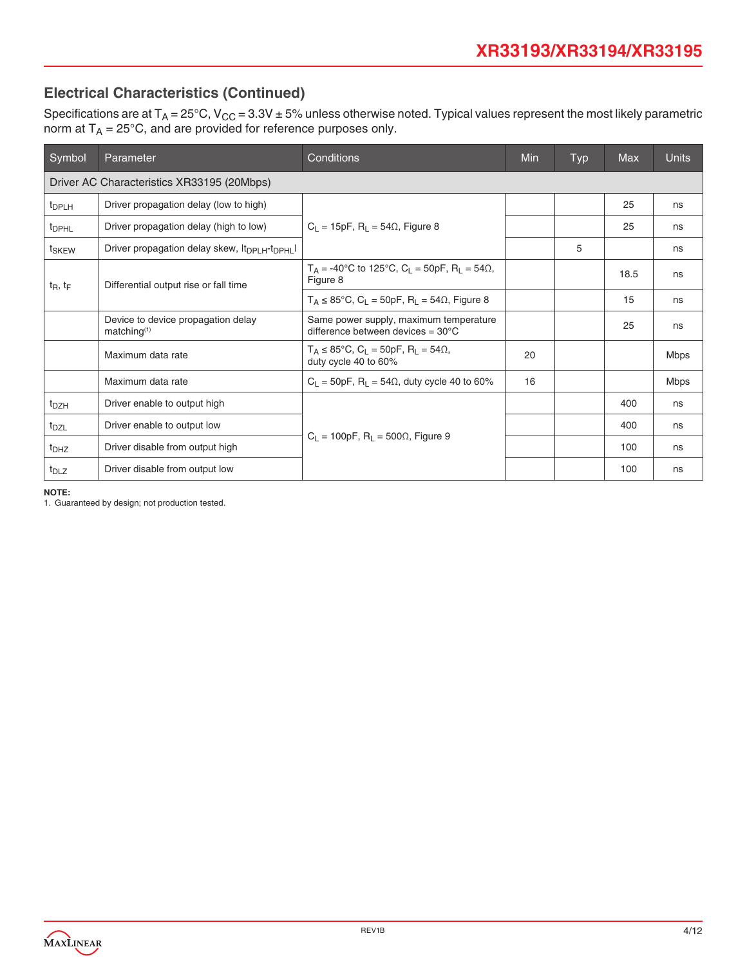# **Electrical Characteristics (Continued)**

Specifications are at T<sub>A</sub> = 25°C, V<sub>CC</sub> = 3.3V ± 5% unless otherwise noted. Typical values represent the most likely parametric norm at  $T_A = 25^{\circ}$ C, and are provided for reference purposes only.

| Symbol            | Parameter                                                              | Conditions                                                                                            | Min | <b>Typ</b> | <b>Max</b> | <b>Units</b> |
|-------------------|------------------------------------------------------------------------|-------------------------------------------------------------------------------------------------------|-----|------------|------------|--------------|
|                   | Driver AC Characteristics XR33195 (20Mbps)                             |                                                                                                       |     |            |            |              |
| <sup>t</sup> DPLH | Driver propagation delay (low to high)                                 |                                                                                                       |     |            | 25         | ns           |
| <sup>t</sup> DPHL | Driver propagation delay (high to low)                                 | $C_1 = 15pF$ , R <sub>1</sub> = 54 $\Omega$ , Figure 8                                                |     |            | 25         | ns           |
| t <sub>SKEW</sub> | Driver propagation delay skew, It <sub>DPLH</sub> -t <sub>DPHL</sub> I |                                                                                                       |     | 5          |            | ns           |
| $t_R$ , $t_F$     | Differential output rise or fall time                                  | $T_A = -40^{\circ}$ C to 125°C, C <sub>L</sub> = 50pF, R <sub>L</sub> = 54 $\Omega$ ,<br>Figure 8     |     |            | 18.5       | ns           |
|                   |                                                                        | $T_A \le 85^{\circ}$ C, C <sub>1</sub> = 50pF, R <sub>1</sub> = 54 $\Omega$ , Figure 8                |     |            | 15         | ns           |
|                   | Device to device propagation delay<br>matching <sup>(1)</sup>          | Same power supply, maximum temperature<br>difference between devices = $30^{\circ}$ C                 |     |            | 25         | ns           |
|                   | Maximum data rate                                                      | $T_A \le 85^{\circ}$ C, C <sub>L</sub> = 50pF, R <sub>L</sub> = 54 $\Omega$ ,<br>duty cycle 40 to 60% | 20  |            |            | Mbps         |
|                   | Maximum data rate                                                      | $C_1 = 50pF$ , R <sub>1</sub> = 54 $\Omega$ , duty cycle 40 to 60%                                    | 16  |            |            | Mbps         |
| t <sub>DZH</sub>  | Driver enable to output high                                           |                                                                                                       |     |            | 400        | ns           |
| t <sub>DZL</sub>  | Driver enable to output low                                            |                                                                                                       |     |            | 400        | ns           |
| t <sub>DHZ</sub>  | Driver disable from output high                                        | $C_1 = 100pF$ , R <sub>1</sub> = 500 $\Omega$ , Figure 9                                              |     |            | 100        | ns           |
| t <sub>DLZ</sub>  | Driver disable from output low                                         |                                                                                                       |     |            | 100        | ns           |

**NOTE:**

1. Guaranteed by design; not production tested.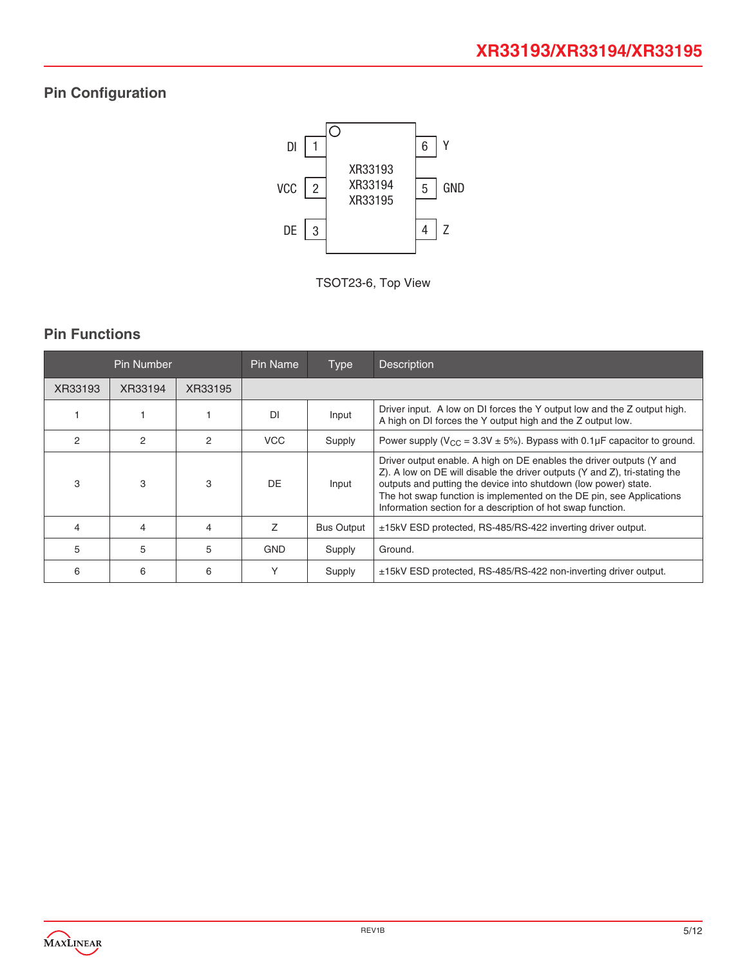# **Pin Configuration**



TSOT23-6, Top View

# **Pin Functions**

|         | Pin Number    |                | Pin Name<br><b>Type</b> |                   | <b>Description</b>                                                                                                                                                                                                                                                                                                                                           |
|---------|---------------|----------------|-------------------------|-------------------|--------------------------------------------------------------------------------------------------------------------------------------------------------------------------------------------------------------------------------------------------------------------------------------------------------------------------------------------------------------|
| XR33193 | XR33194       | XR33195        |                         |                   |                                                                                                                                                                                                                                                                                                                                                              |
|         |               |                | DI                      | Input             | Driver input. A low on DI forces the Y output low and the Z output high.<br>A high on DI forces the Y output high and the Z output low.                                                                                                                                                                                                                      |
| 2       | $\mathcal{P}$ | $\mathfrak{p}$ | <b>VCC</b>              | Supply            | Power supply ( $V_{CC}$ = 3.3V $\pm$ 5%). Bypass with 0.1µF capacitor to ground.                                                                                                                                                                                                                                                                             |
| 3       | 3             | 3              | DE.                     | Input             | Driver output enable. A high on DE enables the driver outputs (Y and<br>Z). A low on DE will disable the driver outputs (Y and Z), tri-stating the<br>outputs and putting the device into shutdown (low power) state.<br>The hot swap function is implemented on the DE pin, see Applications<br>Information section for a description of hot swap function. |
| 4       | 4             | 4              | 7                       | <b>Bus Output</b> | ±15kV ESD protected, RS-485/RS-422 inverting driver output.                                                                                                                                                                                                                                                                                                  |
| 5.      | 5             | 5              | <b>GND</b>              | Supply            | Ground.                                                                                                                                                                                                                                                                                                                                                      |
| 6       | 6             | 6              | Υ                       | Supply            | ±15kV ESD protected, RS-485/RS-422 non-inverting driver output.                                                                                                                                                                                                                                                                                              |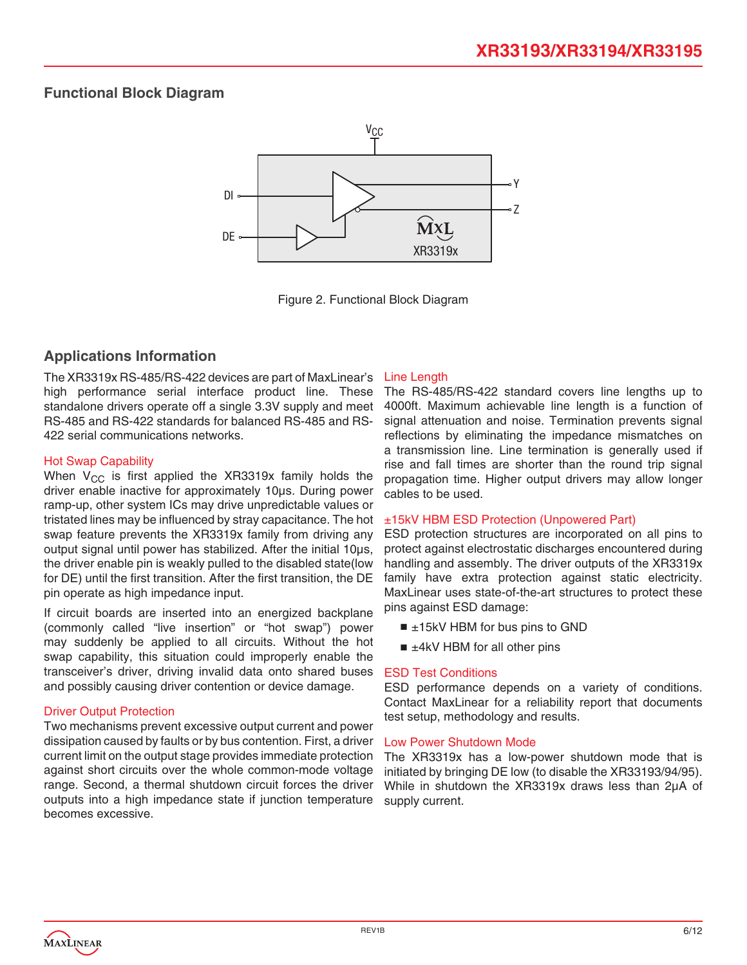# **Functional Block Diagram**



Figure 2. Functional Block Diagram

### **Applications Information**

The XR3319x RS-485/RS-422 devices are part of MaxLinear's high performance serial interface product line. These standalone drivers operate off a single 3.3V supply and meet RS-485 and RS-422 standards for balanced RS-485 and RS-422 serial communications networks.

#### Hot Swap Capability

When  $V_{CC}$  is first applied the XR3319x family holds the driver enable inactive for approximately 10μs. During power ramp-up, other system ICs may drive unpredictable values or tristated lines may be influenced by stray capacitance. The hot swap feature prevents the XR3319x family from driving any output signal until power has stabilized. After the initial 10μs, the driver enable pin is weakly pulled to the disabled state(low for DE) until the first transition. After the first transition, the DE pin operate as high impedance input.

If circuit boards are inserted into an energized backplane (commonly called "live insertion" or "hot swap") power may suddenly be applied to all circuits. Without the hot swap capability, this situation could improperly enable the transceiver's driver, driving invalid data onto shared buses and possibly causing driver contention or device damage.

#### **Driver Output Protection**

Two mechanisms prevent excessive output current and power dissipation caused by faults or by bus contention. First, a driver current limit on the output stage provides immediate protection against short circuits over the whole common-mode voltage range. Second, a thermal shutdown circuit forces the driver outputs into a high impedance state if junction temperature becomes excessive.

#### Line Length

The RS-485/RS-422 standard covers line lengths up to 4000ft. Maximum achievable line length is a function of signal attenuation and noise. Termination prevents signal reflections by eliminating the impedance mismatches on a transmission line. Line termination is generally used if rise and fall times are shorter than the round trip signal propagation time. Higher output drivers may allow longer cables to be used.

#### ±15kV HBM ESD Protection (Unpowered Part)

ESD protection structures are incorporated on all pins to protect against electrostatic discharges encountered during handling and assembly. The driver outputs of the XR3319x family have extra protection against static electricity. MaxLinear uses state-of-the-art structures to protect these pins against ESD damage:

- $\blacksquare$  ±15kV HBM for bus pins to GND
- $\blacksquare$   $\pm$ 4kV HBM for all other pins

#### ESD Test Conditions

ESD performance depends on a variety of conditions. Contact MaxLinear for a reliability report that documents test setup, methodology and results.

#### Low Power Shutdown Mode

The XR3319x has a low-power shutdown mode that is initiated by bringing DE low (to disable the XR33193/94/95). While in shutdown the XR3319x draws less than 2μA of supply current.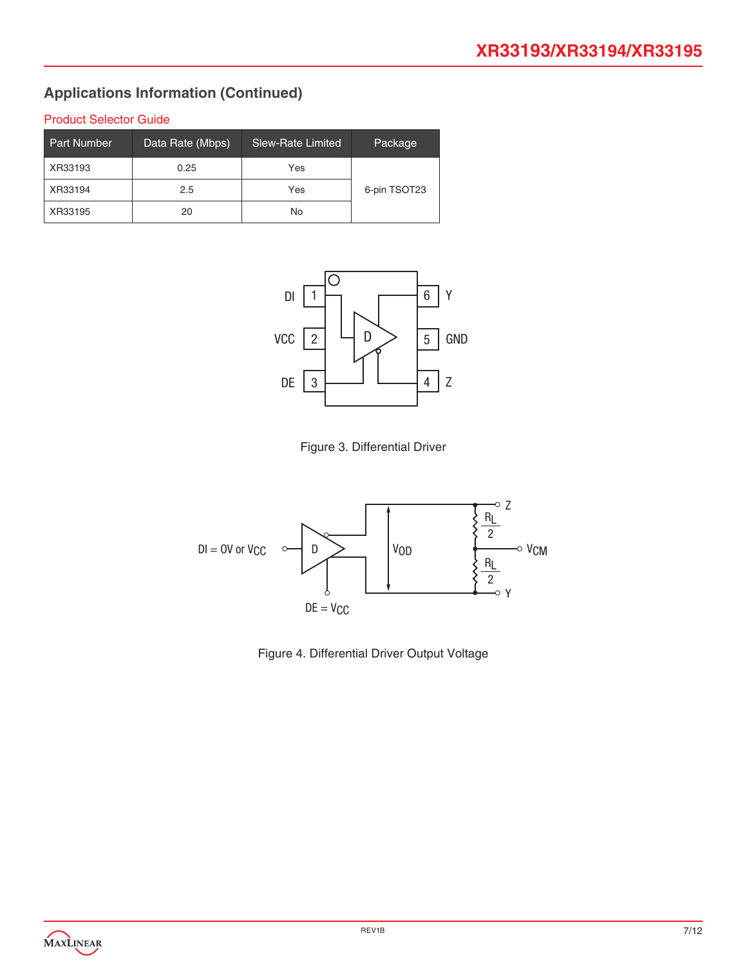# Product Selector Guide

| <b>Part Number</b> | Data Rate (Mbps) | <b>Slew-Rate Limited</b> | Package      |
|--------------------|------------------|--------------------------|--------------|
| XR33193            | 0.25             | Yes                      |              |
| XR33194            | 2.5              | Yes                      | 6-pin TSOT23 |
| XR33195            | 20               | No                       |              |







Figure 4. Differential Driver Output Voltage

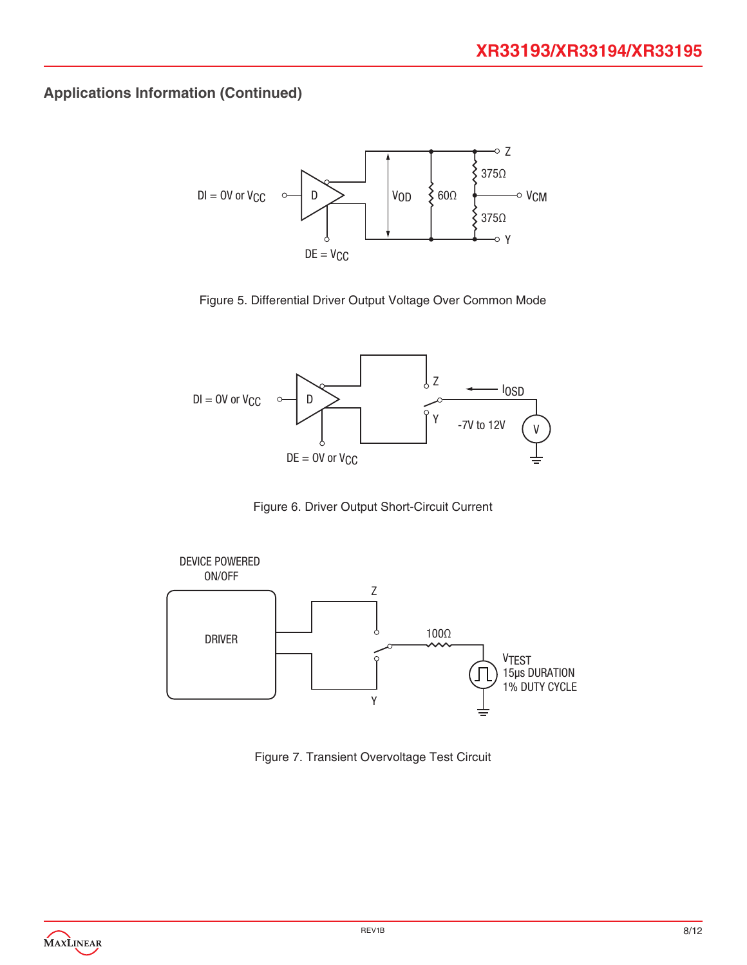

Figure 5. Differential Driver Output Voltage Over Common Mode



Figure 6. Driver Output Short-Circuit Current



Figure 7. Transient Overvoltage Test Circuit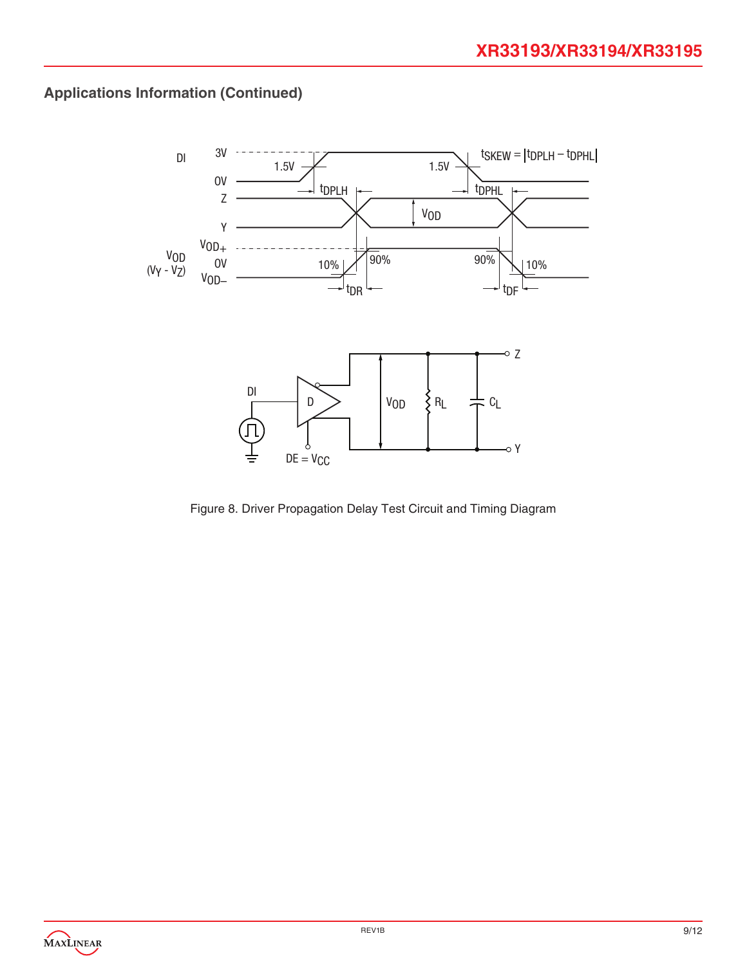

Figure 8. Driver Propagation Delay Test Circuit and Timing Diagram

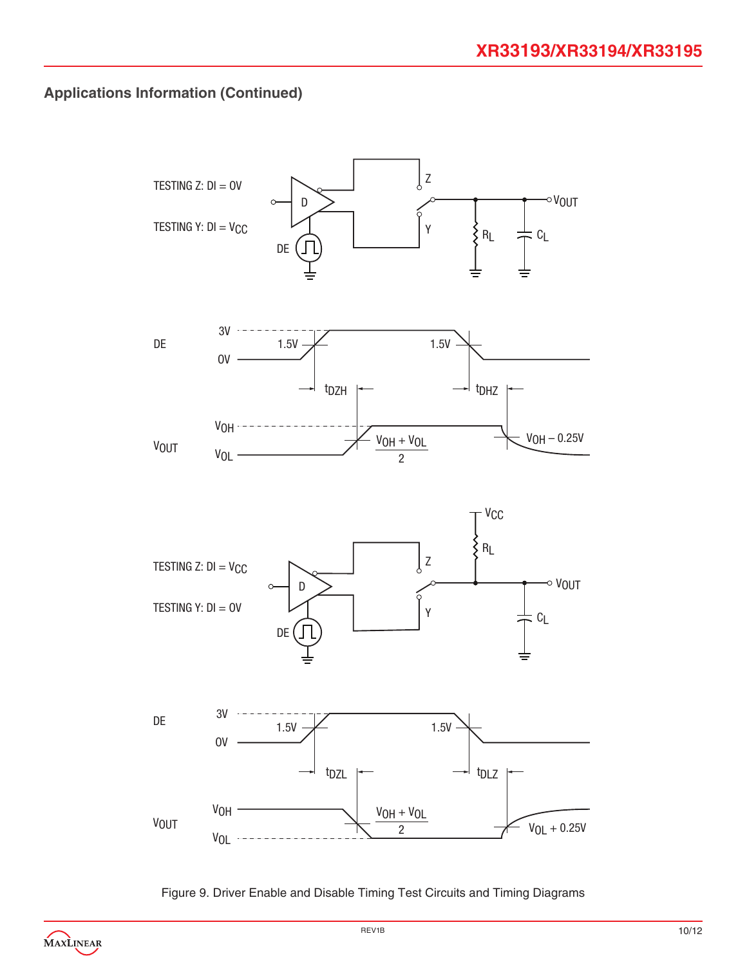

Figure 9. Driver Enable and Disable Timing Test Circuits and Timing Diagrams

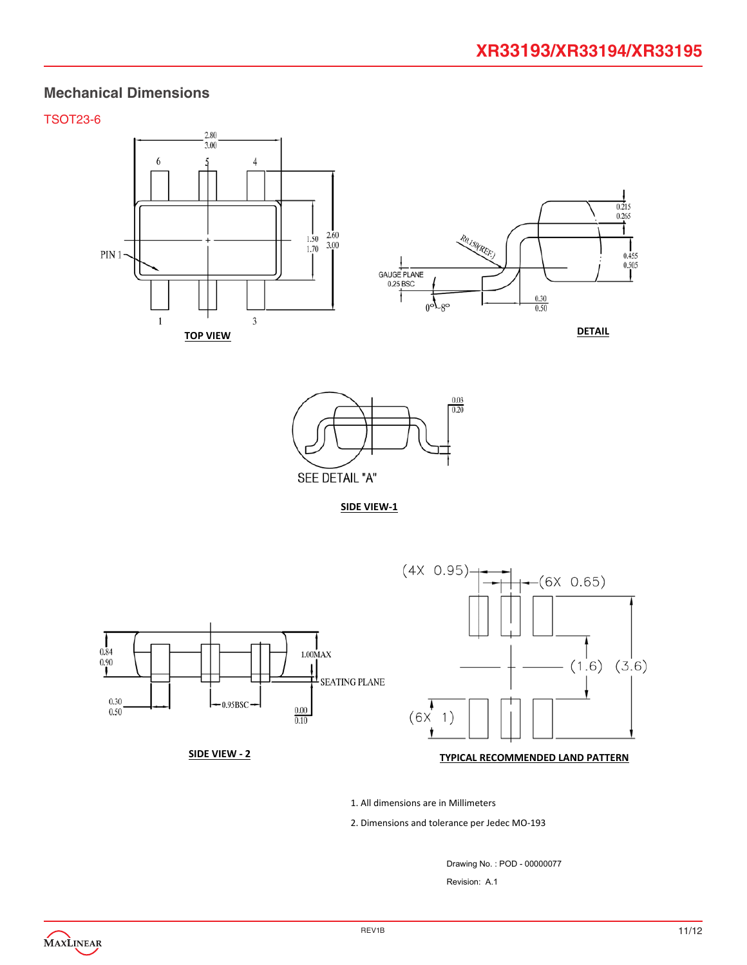### **Mechanical Dimensions**

#### TSOT23-6





**SIDE VIEW‐1**



# **SIDE VIEW ‐ 2 TYPICAL RECOMMENDED LAND PATTERN**

1. All dimensions are in Millimeters

2. Dimensions and tolerance per Jedec MO‐193

Drawing No. : POD - 00000077 Revision: A.1